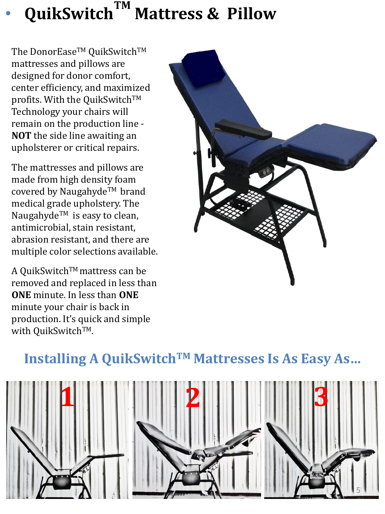## • **QuikSwitchTM Mattress & Pillow**

The DonorEase<sup>™</sup> QuikSwitch™ mattresses and pillows are designed for donor comfort, center efficiency, and maximized profits. With the QuikSwitch™ Technology your chairs will remain on the production line - **NOT** the side line awaiting an upholsterer or critical repairs.

The mattresses and pillows are made from high density foam covered by Naugahyde™ brand medical grade upholstery. The Naugahyde<sup>TM</sup> is easy to clean, antimicrobial, stain resistant, abrasion resistant, and there are multiple color selections available.

A QuikSwitch™mattress can be removed and replaced in less than **ONE** minute. In less than **ONE**  minute your chair is back in production. It's quick and simple with QuikSwitch™.



## **Installing A QuikSwitchTM Mattresses Is As Easy As…**

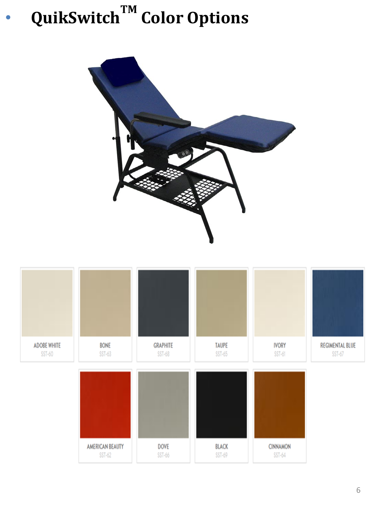## • **QuikSwitchTM Color Options**